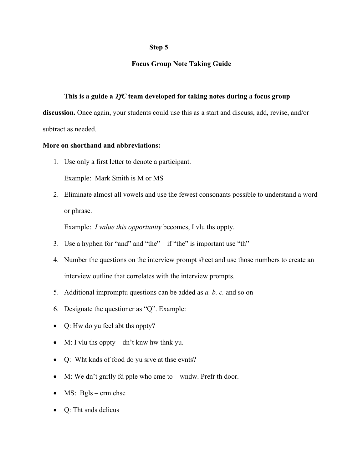## **Step 5**

## **Focus Group Note Taking Guide**

## **This is a guide a** *TfC* **team developed for taking notes during a focus group**

**discussion.** Once again, your students could use this as a start and discuss, add, revise, and/or subtract as needed.

## **More on shorthand and abbreviations:**

1. Use only a first letter to denote a participant.

Example: Mark Smith is M or MS

2. Eliminate almost all vowels and use the fewest consonants possible to understand a word or phrase.

Example: *I value this opportunity* becomes, I vlu ths oppty.

- 3. Use a hyphen for "and" and "the" if "the" is important use "th"
- 4. Number the questions on the interview prompt sheet and use those numbers to create an interview outline that correlates with the interview prompts.
- 5. Additional impromptu questions can be added as *a. b. c.* and so on
- 6. Designate the questioner as "Q". Example:
- Q: Hw do yu feel abt ths oppty?
- M: I vlu ths oppty dn't knw hw thnk yu.
- Q: Wht knds of food do yu srve at thse evnts?
- M: We dn't gnrlly fd pple who cme to wndw. Prefr th door.
- MS: Bgls crm chse
- Q: Tht snds delicus